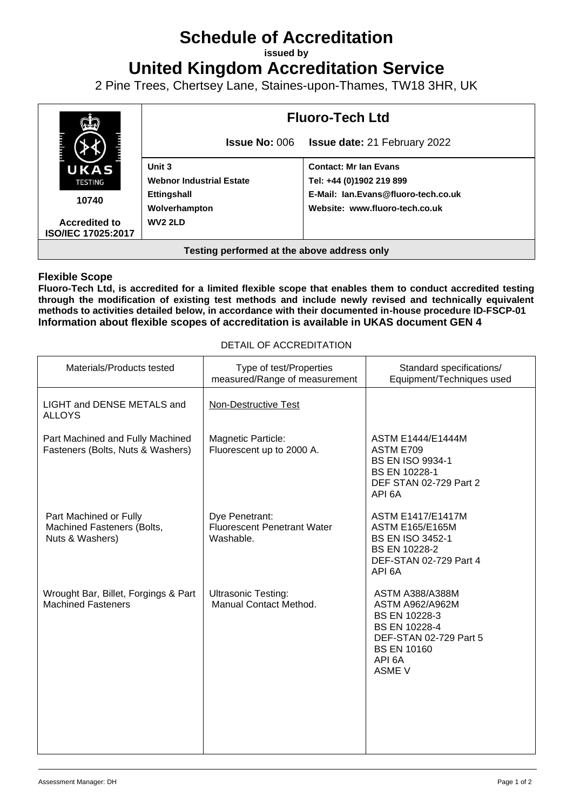## **Schedule of Accreditation**

**issued by**

**United Kingdom Accreditation Service**

2 Pine Trees, Chertsey Lane, Staines-upon-Thames, TW18 3HR, UK



## **Flexible Scope**

**Fluoro-Tech Ltd, is accredited for a limited flexible scope that enables them to conduct accredited testing through the modification of existing test methods and include newly revised and technically equivalent methods to activities detailed below, in accordance with their documented in-house procedure ID-FSCP-01 Information about flexible scopes of accreditation is available in UKAS document GEN 4**

| Materials/Products tested                                               | Type of test/Properties<br>measured/Range of measurement          | Standard specifications/<br>Equipment/Techniques used                                                                                                         |
|-------------------------------------------------------------------------|-------------------------------------------------------------------|---------------------------------------------------------------------------------------------------------------------------------------------------------------|
| LIGHT and DENSE METALS and<br><b>ALLOYS</b>                             | <b>Non-Destructive Test</b>                                       |                                                                                                                                                               |
| Part Machined and Fully Machined<br>Fasteners (Bolts, Nuts & Washers)   | Magnetic Particle:<br>Fluorescent up to 2000 A.                   | <b>ASTM E1444/E1444M</b><br>ASTM E709<br><b>BS EN ISO 9934-1</b><br><b>BS EN 10228-1</b><br>DEF STAN 02-729 Part 2<br>API 6A                                  |
| Part Machined or Fully<br>Machined Fasteners (Bolts,<br>Nuts & Washers) | Dye Penetrant:<br><b>Fluorescent Penetrant Water</b><br>Washable. | <b>ASTM E1417/E1417M</b><br><b>ASTM E165/E165M</b><br><b>BS EN ISO 3452-1</b><br>BS EN 10228-2<br>DEF-STAN 02-729 Part 4<br>API 6A                            |
| Wrought Bar, Billet, Forgings & Part<br><b>Machined Fasteners</b>       | <b>Ultrasonic Testing:</b><br>Manual Contact Method.              | <b>ASTM A388/A388M</b><br><b>ASTM A962/A962M</b><br>BS EN 10228-3<br>BS EN 10228-4<br>DEF-STAN 02-729 Part 5<br><b>BS EN 10160</b><br>API 6A<br><b>ASME V</b> |

## DETAIL OF ACCREDITATION